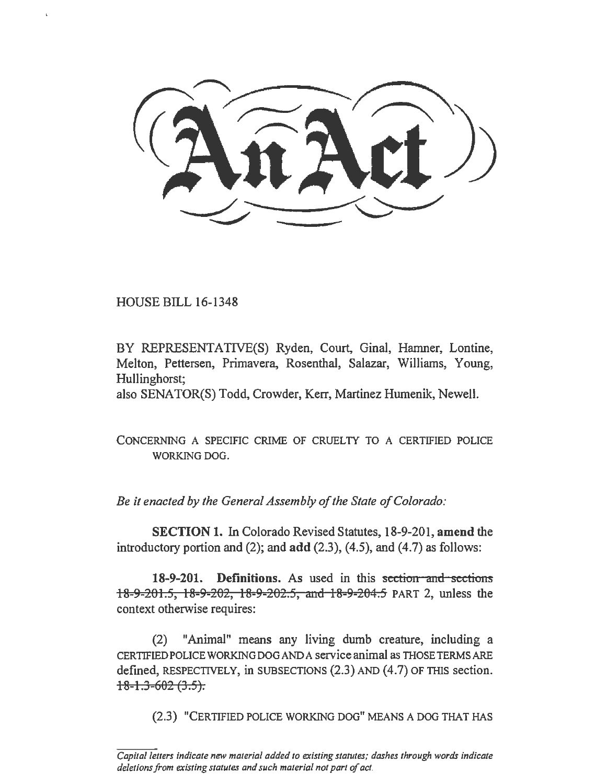HOUSE BILL 16-1348

BY REPRESENTATIVE(S) Ryden, Court, Ginal, Hamner, Lontine, Melton, Pettersen, Primavera, Rosenthal, Salazar, Williams, Young, Hullinghorst;

also SENATOR(S) Todd, Crowder, Kerr, Martinez Humenik, Newell.

CONCERNING A SPECIFIC CRIME OF CRUELTY TO A CERTIFIED POLICE WORKING DOG.

*Be it enacted by the General Assembly of the State of Colorado:* 

SECTION 1. In Colorado Revised Statutes, 18-9-201, amend the introductory portion and  $(2)$ ; and  $add (2.3)$ ,  $(4.5)$ , and  $(4.7)$  as follows:

18-9-201. Definitions. As used in this section and sections 18-9-201.5, 18-9-202, 18-9-202.5, and 18-9-204.5 PART 2, unless the context otherwise requires:

(2) "Animal" means any living dumb creature, including a CERTIFIED POLICE WORKING DOG AND A service animal as THOSE TERMS ARE defmed, RESPECTIVELY, in SUBSECTIONS (2.3) AND (4.7) OF THIS section.  $18-1.3-602(3.5)$ .

(2.3) "CERTIFIED POLICE WORKING DOG" MEANS A DOG THAT HAS

*Capita/letters indicate new material added to existing statutes; dashes through words indicate deletions from existing statutes and such material not part of act.*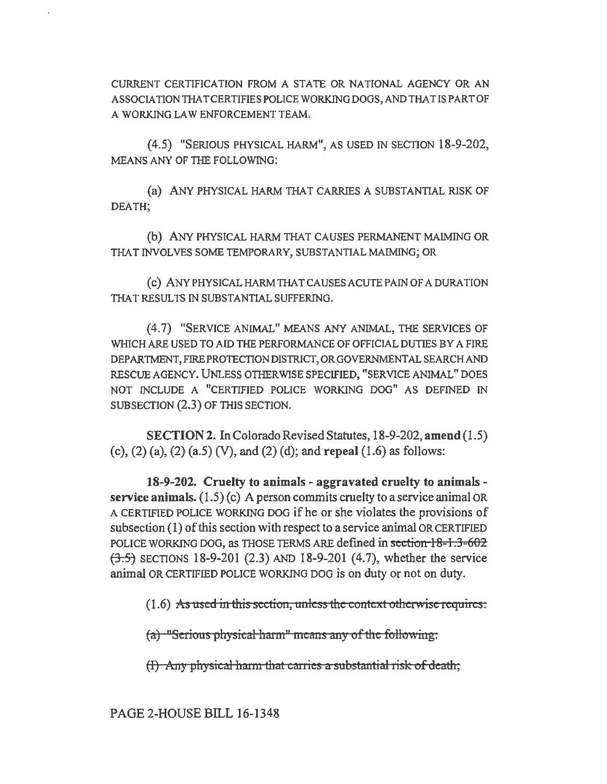CURRENT CERTIFICATION FROM A STATE OR NATIONAL AGENCY OR AN ASSOCIATIONTHATCERTIFIESPOLICEWORKINGDOGS,ANDTHATISPARTOF A WORKING LAW ENFORCEMENT TEAM.

(4.5) "SERIOUS PHYSICAL HARM", AS USED IN SECTION 18-9-202, MEANS ANY OF THE FOLLOWING:

(a) ANY PHYSICAL HARM THAT CARRIES A SUBSTANTIAL RISK OF DEATH;

(b) ANY PHYSICAL HARM THAT CAUSES PERMANENT MAIMING OR THAT INVOLVES SOME TEMPORARY, SUBSTANTIAL MAIMING; OR

(c) ANY PHYSICAL HARM THAT CAUSES ACUTE PAIN OF A DURATION THAT RESULTS IN SUBSTANTIAL SUFFERING.

(4.7) "SERVICE ANIMAL" MEANS ANY ANIMAL, THE SERVICES OF WHICH ARE USED TO AID THE PERFORMANCE OF OFFICIAL DUTIES BY A FIRE DEPARTMENT, FIRE PROTECTION DISTRICT, OR GOVERNMENTAL SEARCH AND RESCUE AGENCY. UNLESS OTHERWISE SPECIFIED, "SERVICE ANIMAL" DOES NOT INCLUDE A "CERTIFIED POLICE WORKING DOG" AS DEFINED IN SUBSECTION (2.3) OF THIS SECTION.

SECTION 2. In Colorado Revised Statutes, 18-9-202, amend (1.5) (c), (2) (a), (2) (a.5) (V), and (2) (d); and repeal (1.6) as follows:

18-9-202. Cruelty to animals - aggravated cruelty to animals service animals.  $(1.5)(c)$  A person commits cruelty to a service animal OR A CERTIFIED POLICE WORKING DOG if he or she violates the provisions of subsection (1) of this section with respect to a service animal OR CERTIFIED POLICE WORKING DOG, as THOSE TERMS ARE defined in section 18-1.3-602  $(3.5)$  SECTIONS 18-9-201 (2.3) AND 18-9-201 (4.7), whether the service animal OR CERTIFIED POLICE WORKING DOG is on duty or not on duty.

(1.6) As used in this section, unless the context otherwise requires:

 $(a)$  "Serious physical harm" means any of the following:

 $(H)$  Any physical harm that carries a substantial risk of death,

PAGE 2-HOUSE BILL 16-1348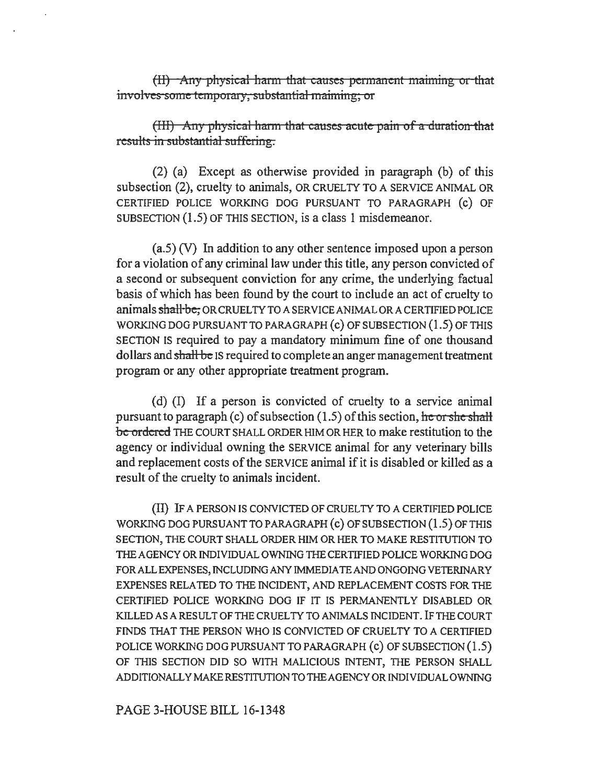$(H)$  -Any physical harm that causes permanent maiming or that involves some temporary, substantial maiming; or

(III) Any physical harm that causes acute pain of a duration that results in substantial suffering.

(2} (a) Except as otherwise provided in paragraph (b) of this subsection (2), cruelty to animals, OR CRUELTY TO A SERVICE ANIMAL OR CERTIFIED POLICE WORKING DOG PURSUANT TO PARAGRAPH (c) OF SUBSECTION (1.5) OF THIS SECTION, is a class 1 misdemeanor.

(a.S) (V) In addition to any other sentence imposed upon a person for a violation of any criminal law under this title, any person convicted of a second or subsequent conviction for any crime, the underlying factual basis of which has been found by the court to include an act of cruelty to animals shall be, OR CRUEL TY TO A SERVICE ANIMAL OR A CERTIFIED POLICE WORKING DOG PURSUANT TO PARAGRAPH (c) OF SUBSECTION (1.5) OF THIS SECTION IS required to pay a mandatory minimum fme of one thousand dollars and shall be IS required to complete an anger management treatment program or any other appropriate treatment program.

(d)  $(I)$  If a person is convicted of cruelty to a service animal pursuant to paragraph (c) of subsection  $(1.5)$  of this section, he or she shall be ordered THE COURT SHALL ORDER HIM OR HER to make restitution to the agency or individual owning the SERVICE animal for any veterinary bills and replacement costs of the SERVICE animal if it is disabled or killed as a result of the cruelty to animals incident.

(II) IF A PERSON IS CONVICTED OF CRUELTY TO A CERTIFIED POLICE WORKING DOG PURSUANT TO PARAGRAPH (c) OF SUBSECTION (1.5) OF THIS SECTION, THE COURT SHALL ORDER HIM OR HER TO MAKE RESTITUTION TO THE AGENCY OR INDIVIDUAL OWNING THE CERTIFIED POLICE WORKING DOG FOR ALL EXPENSES, INCLUDING ANY IMMEDIATE AND ONGOING VETERINARY EXPENSES RELATED TO THE INCIDENT, AND REPLACEMENT COSTS FOR THE CERTIFIED POLICE WORKING DOG IF IT IS PERMANENTLY DISABLED OR KILLED AS A RESULT OF THE CRUELTY TO ANIMALS INCIDENT. IF THE COURT FINDS THAT THE PERSON WHO IS CONVICTED OF CRUELTY TO A CERTIFlED POLICE WORKING DOG PURSUANT TO PARAGRAPH (c) OF SUBSECTION (1.5) OF THIS SECTION DID SO WITH MALICIOUS INTENT, THE PERSON SHALL ADDITIONALLYMAKERESTITUTIONTOTHEAGENCYORINDIVIDUALOWNING

PAGE 3-HOUSE BILL 16-1348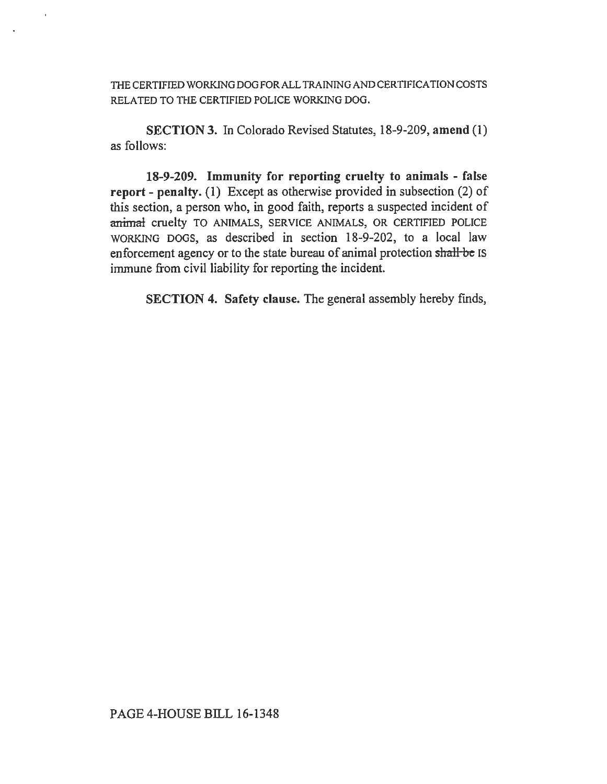THE CERTIFIED WORKING DOG FOR ALL TRAINING AND CERTIFICATION COSTS RELATED TO THE CERTIFIED POLICE WORKING DOG.

SECTION 3. In Colorado Revised Statutes, 18-9-209, amend (1) as follows:

18-9-209. Immunity for reporting cruelty to animals - false report - penalty. (1) Except as otherwise provided in subsection (2) of this section, a person who, in good faith, reports a suspected incident of animal cruelty TO ANIMALS, SERVICE ANIMALS, OR CERTIFIED POLICE WORKING DOGS, as described in section 18-9-202, to a local law enforcement agency or to the state bureau of animal protection shall-be IS immune from civil liability for reporting the incident.

SECTION 4. Safety clause. The general assembly hereby finds,